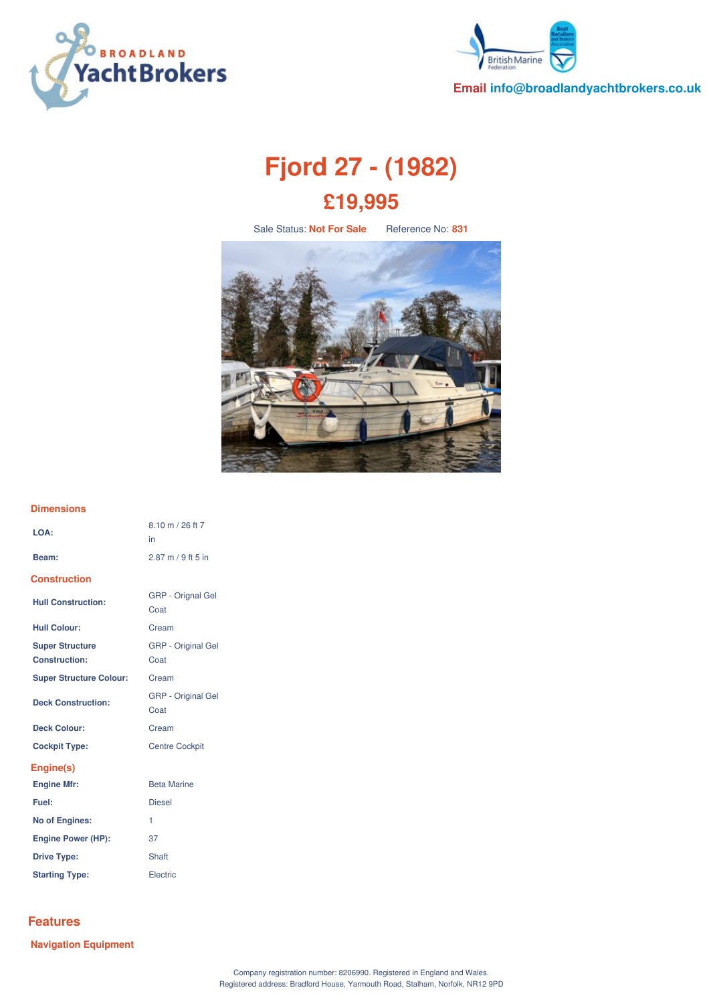



**Email info@broadlandyachtbrokers.co.uk**

# **Fjord 27 - (1982) £19,995**

Sale Status: **Not For Sale** Reference No: **831**



### **Dimensions**

| LOA:                           | 8.10 m / 26 ft 7<br>in            |
|--------------------------------|-----------------------------------|
| Beam:                          | $2.87$ m / 9 ft 5 in              |
| <b>Construction</b>            |                                   |
| <b>Hull Construction:</b>      | <b>GRP</b> - Orignal Gel<br>Coat  |
| <b>Hull Colour:</b>            | Cream                             |
| <b>Super Structure</b>         | <b>GRP</b> - Original Gel         |
| Construction:                  | Coat                              |
| <b>Super Structure Colour:</b> | Cream                             |
| <b>Deck Construction:</b>      | <b>GRP</b> - Original Gel<br>Coat |
| <b>Deck Colour:</b>            | Cream                             |
| <b>Cockpit Type:</b>           | <b>Centre Cockpit</b>             |
| Engine(s)                      |                                   |
| <b>Engine Mfr:</b>             | <b>Beta Marine</b>                |
| Fuel:                          | <b>Diesel</b>                     |
| <b>No of Engines:</b>          | 1                                 |
| <b>Engine Power (HP):</b>      | 37                                |
| <b>Drive Type:</b>             | Shaft                             |

# **Features**

**Navigation Equipment**

**Starting Type:** Electric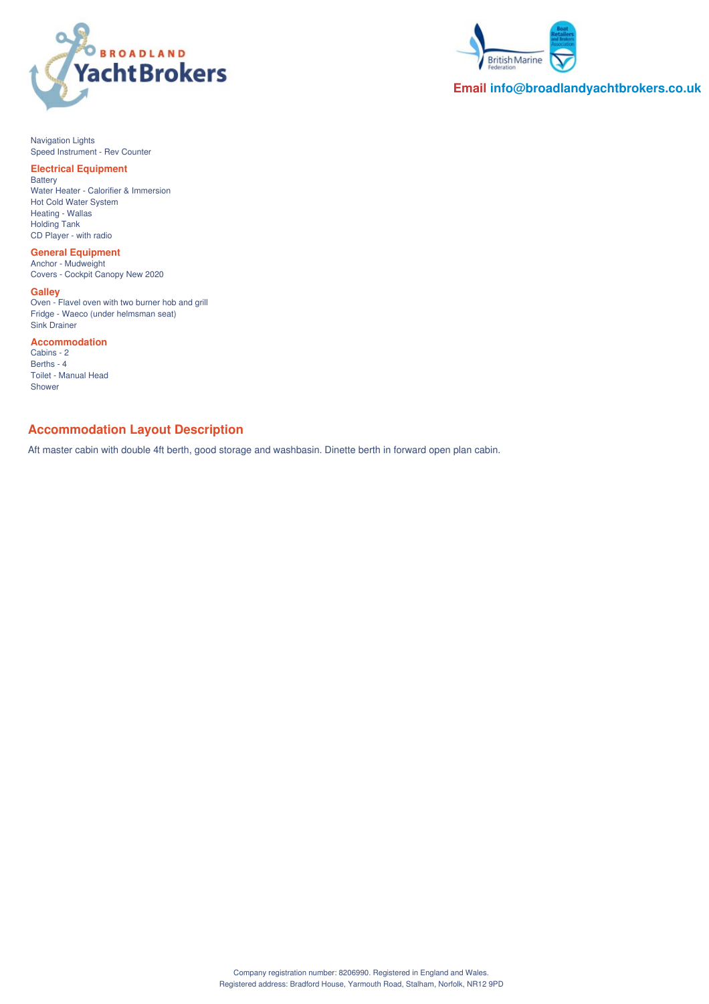



**Email info@broadlandyachtbrokers.co.uk**

Navigation Lights Speed Instrument - Rev Counter

#### **Electrical Equipment** Battery

Water Heater - Calorifier & Immersion Hot Cold Water System Heating - Wallas Holding Tank CD Player - with radio

**General Equipment** Anchor - Mudweight Covers - Cockpit Canopy New 2020

**Galley** Oven - Flavel oven with two burner hob and grill Fridge - Waeco (under helmsman seat) Sink Drainer

**Accommodation**

Cabins - 2 Berths - 4 Toilet - Manual Head Shower

# **Accommodation Layout Description**

Aft master cabin with double 4ft berth, good storage and washbasin. Dinette berth in forward open plan cabin.